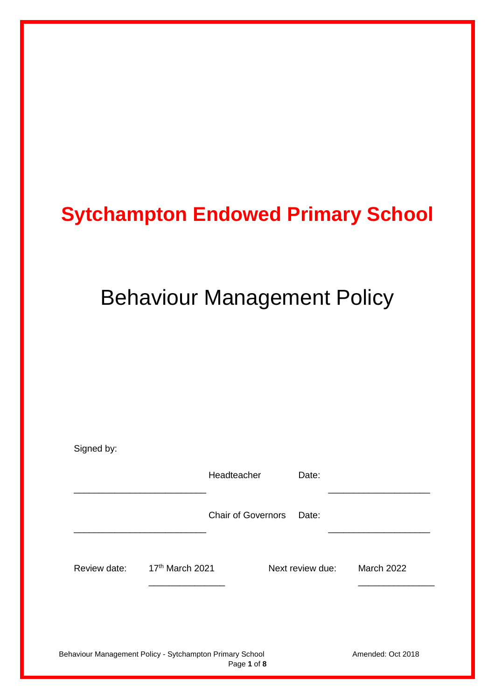# **Sytchampton Endowed Primary School**

# Behaviour Management Policy

| Signed by:                                                              |                 |                           |                  |                   |
|-------------------------------------------------------------------------|-----------------|---------------------------|------------------|-------------------|
|                                                                         |                 | Headteacher               | Date:            |                   |
|                                                                         |                 | <b>Chair of Governors</b> | Date:            |                   |
| Review date:                                                            | 17th March 2021 |                           | Next review due: | <b>March 2022</b> |
|                                                                         |                 |                           |                  |                   |
| Behaviour Management Policy - Sytchampton Primary School<br>Page 1 of 8 |                 |                           |                  | Amended: Oct 2018 |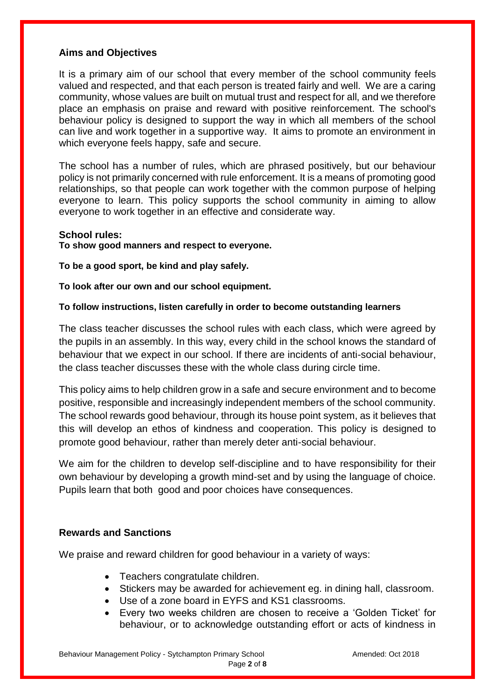#### **Aims and Objectives**

It is a primary aim of our school that every member of the school community feels valued and respected, and that each person is treated fairly and well. We are a caring community, whose values are built on mutual trust and respect for all, and we therefore place an emphasis on praise and reward with positive reinforcement. The school's behaviour policy is designed to support the way in which all members of the school can live and work together in a supportive way. It aims to promote an environment in which everyone feels happy, safe and secure.

The school has a number of rules, which are phrased positively, but our behaviour policy is not primarily concerned with rule enforcement. It is a means of promoting good relationships, so that people can work together with the common purpose of helping everyone to learn. This policy supports the school community in aiming to allow everyone to work together in an effective and considerate way.

#### **School rules:**

**To show good manners and respect to everyone.**

**To be a good sport, be kind and play safely.**

**To look after our own and our school equipment.**

#### **To follow instructions, listen carefully in order to become outstanding learners**

The class teacher discusses the school rules with each class, which were agreed by the pupils in an assembly. In this way, every child in the school knows the standard of behaviour that we expect in our school. If there are incidents of anti-social behaviour, the class teacher discusses these with the whole class during circle time.

This policy aims to help children grow in a safe and secure environment and to become positive, responsible and increasingly independent members of the school community. The school rewards good behaviour, through its house point system, as it believes that this will develop an ethos of kindness and cooperation. This policy is designed to promote good behaviour, rather than merely deter anti-social behaviour.

We aim for the children to develop self-discipline and to have responsibility for their own behaviour by developing a growth mind-set and by using the language of choice. Pupils learn that both good and poor choices have consequences.

#### **Rewards and Sanctions**

We praise and reward children for good behaviour in a variety of ways:

- Teachers congratulate children.
- Stickers may be awarded for achievement eg. in dining hall, classroom.
- Use of a zone board in EYFS and KS1 classrooms.
- Every two weeks children are chosen to receive a 'Golden Ticket' for behaviour, or to acknowledge outstanding effort or acts of kindness in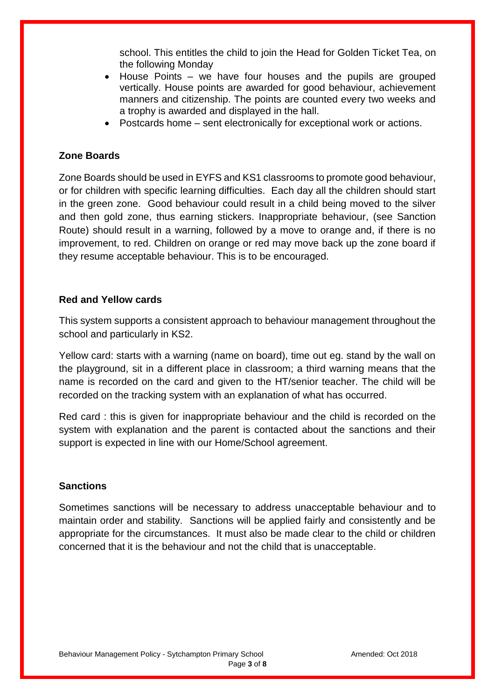school. This entitles the child to join the Head for Golden Ticket Tea, on the following Monday

- House Points we have four houses and the pupils are grouped vertically. House points are awarded for good behaviour, achievement manners and citizenship. The points are counted every two weeks and a trophy is awarded and displayed in the hall.
- Postcards home sent electronically for exceptional work or actions.

#### **Zone Boards**

Zone Boards should be used in EYFS and KS1 classrooms to promote good behaviour, or for children with specific learning difficulties. Each day all the children should start in the green zone. Good behaviour could result in a child being moved to the silver and then gold zone, thus earning stickers. Inappropriate behaviour, (see Sanction Route) should result in a warning, followed by a move to orange and, if there is no improvement, to red. Children on orange or red may move back up the zone board if they resume acceptable behaviour. This is to be encouraged.

#### **Red and Yellow cards**

This system supports a consistent approach to behaviour management throughout the school and particularly in KS2.

Yellow card: starts with a warning (name on board), time out eg. stand by the wall on the playground, sit in a different place in classroom; a third warning means that the name is recorded on the card and given to the HT/senior teacher. The child will be recorded on the tracking system with an explanation of what has occurred.

Red card : this is given for inappropriate behaviour and the child is recorded on the system with explanation and the parent is contacted about the sanctions and their support is expected in line with our Home/School agreement.

#### **Sanctions**

Sometimes sanctions will be necessary to address unacceptable behaviour and to maintain order and stability. Sanctions will be applied fairly and consistently and be appropriate for the circumstances. It must also be made clear to the child or children concerned that it is the behaviour and not the child that is unacceptable.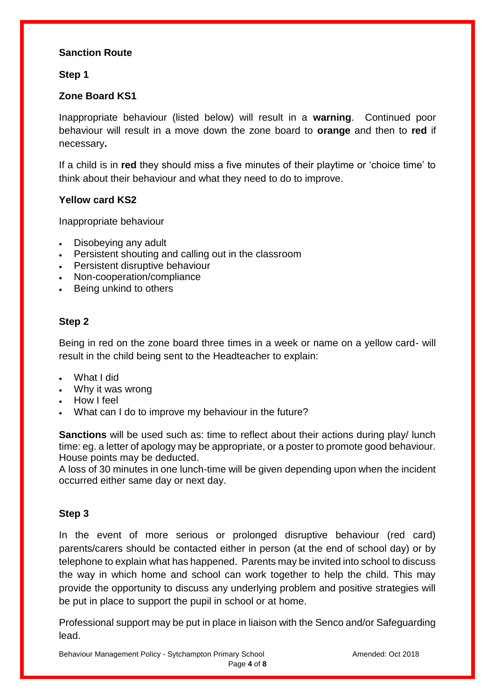# **Sanction Route**

### **Step 1**

# **Zone Board KS1**

Inappropriate behaviour (listed below) will result in a **warning**. Continued poor behaviour will result in a move down the zone board to **orange** and then to **red** if necessary**.**

If a child is in **red** they should miss a five minutes of their playtime or 'choice time' to think about their behaviour and what they need to do to improve.

## **Yellow card KS2**

Inappropriate behaviour

- Disobeying any adult
- Persistent shouting and calling out in the classroom
- Persistent disruptive behaviour
- Non-cooperation/compliance
- Being unkind to others

# **Step 2**

Being in red on the zone board three times in a week or name on a yellow card- will result in the child being sent to the Headteacher to explain:

- What I did
- Why it was wrong
- How I feel
- What can I do to improve my behaviour in the future?

**Sanctions** will be used such as: time to reflect about their actions during play/ lunch time: eg. a letter of apology may be appropriate, or a poster to promote good behaviour. House points may be deducted.

A loss of 30 minutes in one lunch-time will be given depending upon when the incident occurred either same day or next day.

#### **Step 3**

In the event of more serious or prolonged disruptive behaviour (red card) parents/carers should be contacted either in person (at the end of school day) or by telephone to explain what has happened. Parents may be invited into school to discuss the way in which home and school can work together to help the child. This may provide the opportunity to discuss any underlying problem and positive strategies will be put in place to support the pupil in school or at home.

Professional support may be put in place in liaison with the Senco and/or Safeguarding lead.

Behaviour Management Policy - Sytchampton Primary School **Amended: Oct 2018** Amended: Oct 2018 Page **4** of **8**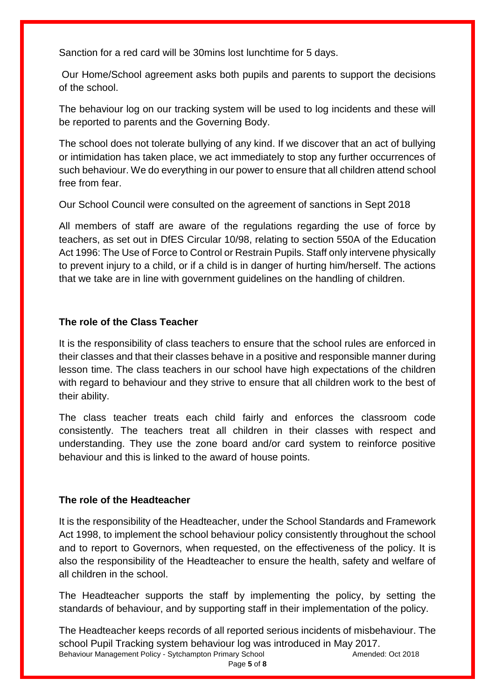Sanction for a red card will be 30mins lost lunchtime for 5 days.

Our Home/School agreement asks both pupils and parents to support the decisions of the school.

The behaviour log on our tracking system will be used to log incidents and these will be reported to parents and the Governing Body.

The school does not tolerate bullying of any kind. If we discover that an act of bullying or intimidation has taken place, we act immediately to stop any further occurrences of such behaviour. We do everything in our power to ensure that all children attend school free from fear.

Our School Council were consulted on the agreement of sanctions in Sept 2018

All members of staff are aware of the regulations regarding the use of force by teachers, as set out in DfES Circular 10/98, relating to section 550A of the Education Act 1996: The Use of Force to Control or Restrain Pupils. Staff only intervene physically to prevent injury to a child, or if a child is in danger of hurting him/herself. The actions that we take are in line with government guidelines on the handling of children.

# **The role of the Class Teacher**

It is the responsibility of class teachers to ensure that the school rules are enforced in their classes and that their classes behave in a positive and responsible manner during lesson time. The class teachers in our school have high expectations of the children with regard to behaviour and they strive to ensure that all children work to the best of their ability.

The class teacher treats each child fairly and enforces the classroom code consistently. The teachers treat all children in their classes with respect and understanding. They use the zone board and/or card system to reinforce positive behaviour and this is linked to the award of house points.

# **The role of the Headteacher**

It is the responsibility of the Headteacher, under the School Standards and Framework Act 1998, to implement the school behaviour policy consistently throughout the school and to report to Governors, when requested, on the effectiveness of the policy. It is also the responsibility of the Headteacher to ensure the health, safety and welfare of all children in the school.

The Headteacher supports the staff by implementing the policy, by setting the standards of behaviour, and by supporting staff in their implementation of the policy.

Behaviour Management Policy - Sytchampton Primary School **Amended: Oct 2018** Amended: Oct 2018 The Headteacher keeps records of all reported serious incidents of misbehaviour. The school Pupil Tracking system behaviour log was introduced in May 2017.

Page **5** of **8**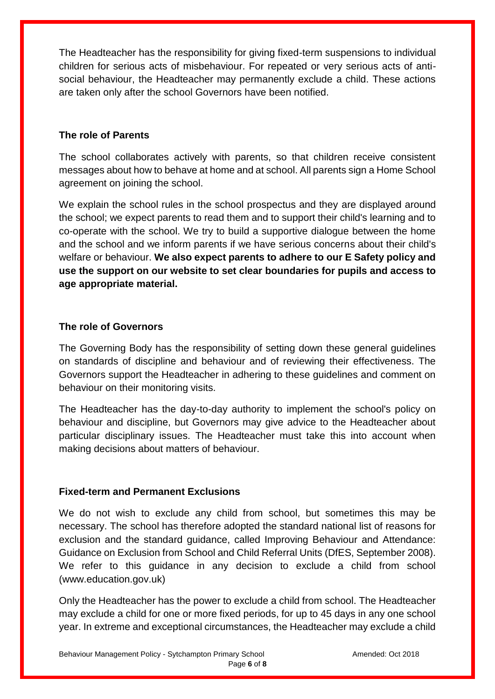The Headteacher has the responsibility for giving fixed-term suspensions to individual children for serious acts of misbehaviour. For repeated or very serious acts of antisocial behaviour, the Headteacher may permanently exclude a child. These actions are taken only after the school Governors have been notified.

# **The role of Parents**

The school collaborates actively with parents, so that children receive consistent messages about how to behave at home and at school. All parents sign a Home School agreement on joining the school.

We explain the school rules in the school prospectus and they are displayed around the school; we expect parents to read them and to support their child's learning and to co-operate with the school. We try to build a supportive dialogue between the home and the school and we inform parents if we have serious concerns about their child's welfare or behaviour. **We also expect parents to adhere to our E Safety policy and use the support on our website to set clear boundaries for pupils and access to age appropriate material.**

## **The role of Governors**

The Governing Body has the responsibility of setting down these general guidelines on standards of discipline and behaviour and of reviewing their effectiveness. The Governors support the Headteacher in adhering to these guidelines and comment on behaviour on their monitoring visits.

The Headteacher has the day-to-day authority to implement the school's policy on behaviour and discipline, but Governors may give advice to the Headteacher about particular disciplinary issues. The Headteacher must take this into account when making decisions about matters of behaviour.

# **Fixed-term and Permanent Exclusions**

We do not wish to exclude any child from school, but sometimes this may be necessary. The school has therefore adopted the standard national list of reasons for exclusion and the standard guidance, called Improving Behaviour and Attendance: Guidance on Exclusion from School and Child Referral Units (DfES, September 2008). We refer to this guidance in any decision to exclude a child from school (www.education.gov.uk)

Only the Headteacher has the power to exclude a child from school. The Headteacher may exclude a child for one or more fixed periods, for up to 45 days in any one school year. In extreme and exceptional circumstances, the Headteacher may exclude a child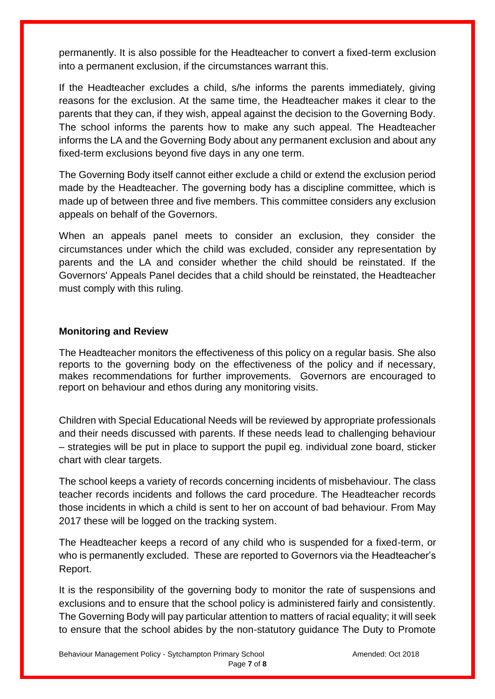permanently. It is also possible for the Headteacher to convert a fixed-term exclusion into a permanent exclusion, if the circumstances warrant this.

If the Headteacher excludes a child, s/he informs the parents immediately, giving reasons for the exclusion. At the same time, the Headteacher makes it clear to the parents that they can, if they wish, appeal against the decision to the Governing Body. The school informs the parents how to make any such appeal. The Headteacher informs the LA and the Governing Body about any permanent exclusion and about any fixed-term exclusions beyond five days in any one term.

The Governing Body itself cannot either exclude a child or extend the exclusion period made by the Headteacher. The governing body has a discipline committee, which is made up of between three and five members. This committee considers any exclusion appeals on behalf of the Governors.

When an appeals panel meets to consider an exclusion, they consider the circumstances under which the child was excluded, consider any representation by parents and the LA and consider whether the child should be reinstated. If the Governors' Appeals Panel decides that a child should be reinstated, the Headteacher must comply with this ruling.

## **Monitoring and Review**

The Headteacher monitors the effectiveness of this policy on a regular basis. She also reports to the governing body on the effectiveness of the policy and if necessary, makes recommendations for further improvements. Governors are encouraged to report on behaviour and ethos during any monitoring visits.

Children with Special Educational Needs will be reviewed by appropriate professionals and their needs discussed with parents. If these needs lead to challenging behaviour – strategies will be put in place to support the pupil eg. individual zone board, sticker chart with clear targets.

The school keeps a variety of records concerning incidents of misbehaviour. The class teacher records incidents and follows the card procedure. The Headteacher records those incidents in which a child is sent to her on account of bad behaviour. From May 2017 these will be logged on the tracking system.

The Headteacher keeps a record of any child who is suspended for a fixed-term, or who is permanently excluded. These are reported to Governors via the Headteacher's Report.

It is the responsibility of the governing body to monitor the rate of suspensions and exclusions and to ensure that the school policy is administered fairly and consistently. The Governing Body will pay particular attention to matters of racial equality; it will seek to ensure that the school abides by the non-statutory guidance The Duty to Promote